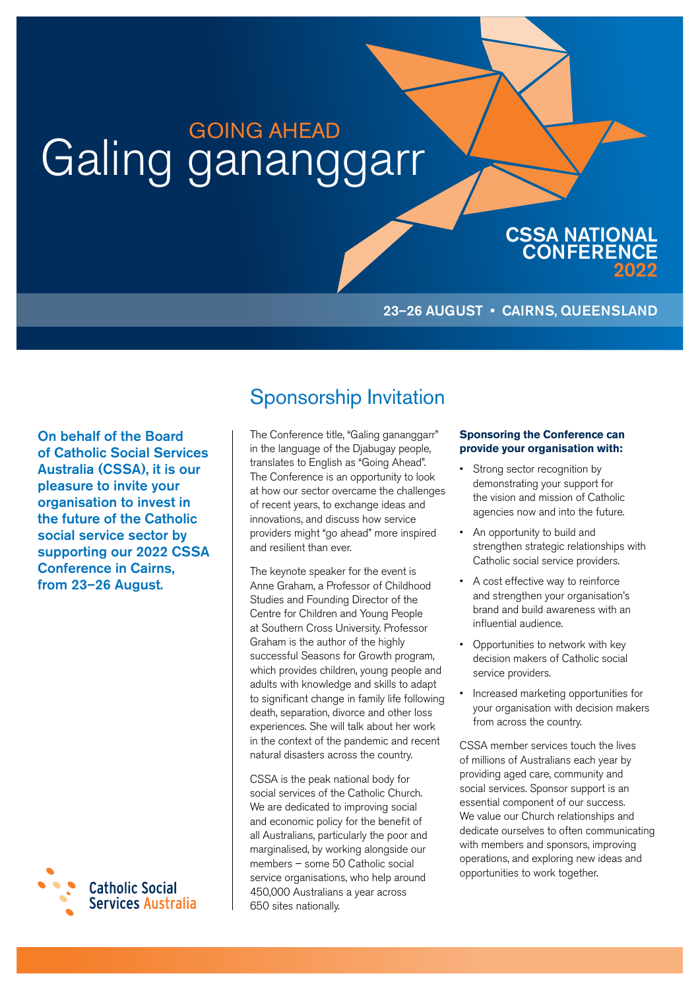# Galing gananggarr

#### 23–26 AUGUST • CAIRNS, QUEENSLAND

CSSA NATIONAL **CONFERENCE** 

2022

On behalf of the Board of Catholic Social Services Australia (CSSA), it is our pleasure to invite your organisation to invest in the future of the Catholic social service sector by supporting our 2022 CSSA Conference in Cairns, from 23–26 August.



### Sponsorship Invitation

The Conference title, "Galing gananggarr" in the language of the Djabugay people, translates to English as "Going Ahead". The Conference is an opportunity to look at how our sector overcame the challenges of recent years, to exchange ideas and innovations, and discuss how service providers might "go ahead" more inspired and resilient than ever.

The keynote speaker for the event is Anne Graham, a Professor of Childhood Studies and Founding Director of the Centre for Children and Young People at Southern Cross University. Professor Graham is the author of the highly successful Seasons for Growth program, which provides children, young people and adults with knowledge and skills to adapt to significant change in family life following death, separation, divorce and other loss experiences. She will talk about her work in the context of the pandemic and recent natural disasters across the country.

CSSA is the peak national body for social services of the Catholic Church. We are dedicated to improving social and economic policy for the benefit of all Australians, particularly the poor and marginalised, by working alongside our members – some 50 Catholic social service organisations, who help around 450,000 Australians a year across 650 sites nationally.

#### **Sponsoring the Conference can provide your organisation with:**

- Strong sector recognition by demonstrating your support for the vision and mission of Catholic agencies now and into the future.
- An opportunity to build and strengthen strategic relationships with Catholic social service providers.
- A cost effective way to reinforce and strengthen your organisation's brand and build awareness with an influential audience.
- Opportunities to network with key decision makers of Catholic social service providers.
- Increased marketing opportunities for your organisation with decision makers from across the country.

CSSA member services touch the lives of millions of Australians each year by providing aged care, community and social services. Sponsor support is an essential component of our success. We value our Church relationships and dedicate ourselves to often communicating with members and sponsors, improving operations, and exploring new ideas and opportunities to work together.